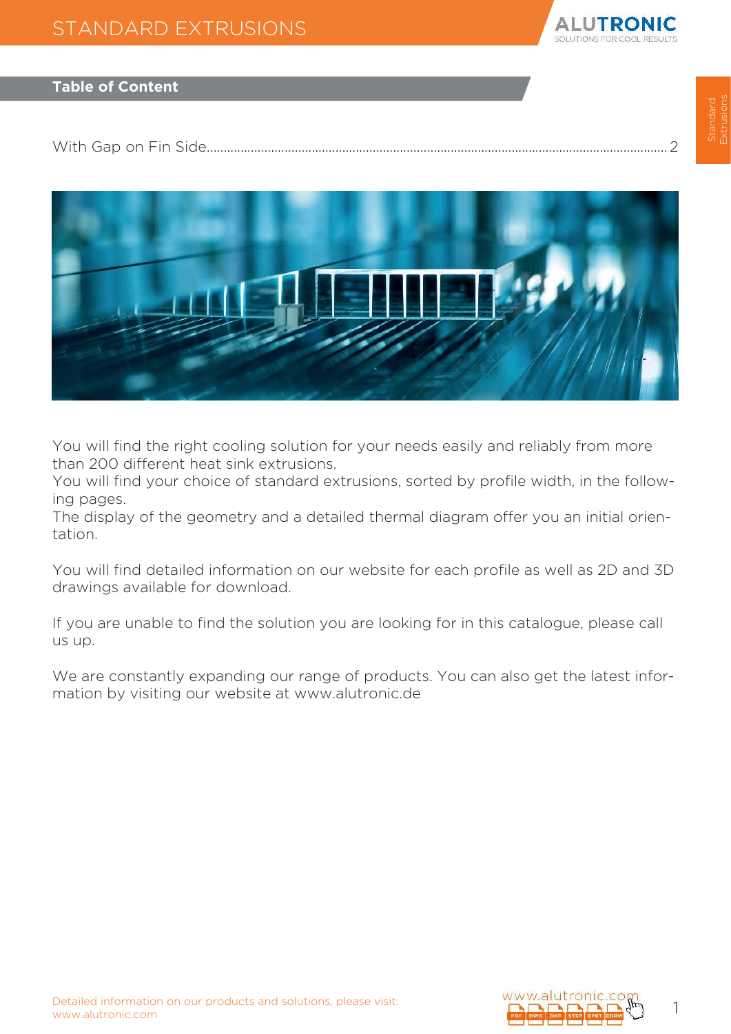

## **Table of Content**

[With Gap on Fin Side........................................................................................................................................](#page-1-0) 2



You will find the right cooling solution for your needs easily and reliably from more than 200 different heat sink extrusions.

You will find your choice of standard extrusions, sorted by profile width, in the following pages.

The display of the geometry and a detailed thermal diagram offer you an initial orientation.

You will find detailed information on our website for each profile as well as 2D and 3D drawings available for download.

If you are unable to find the solution you are looking for in this catalogue, please call us up.

We are constantly expanding our range of products. You can also get the latest information by visiting our website at www.alutronic.de

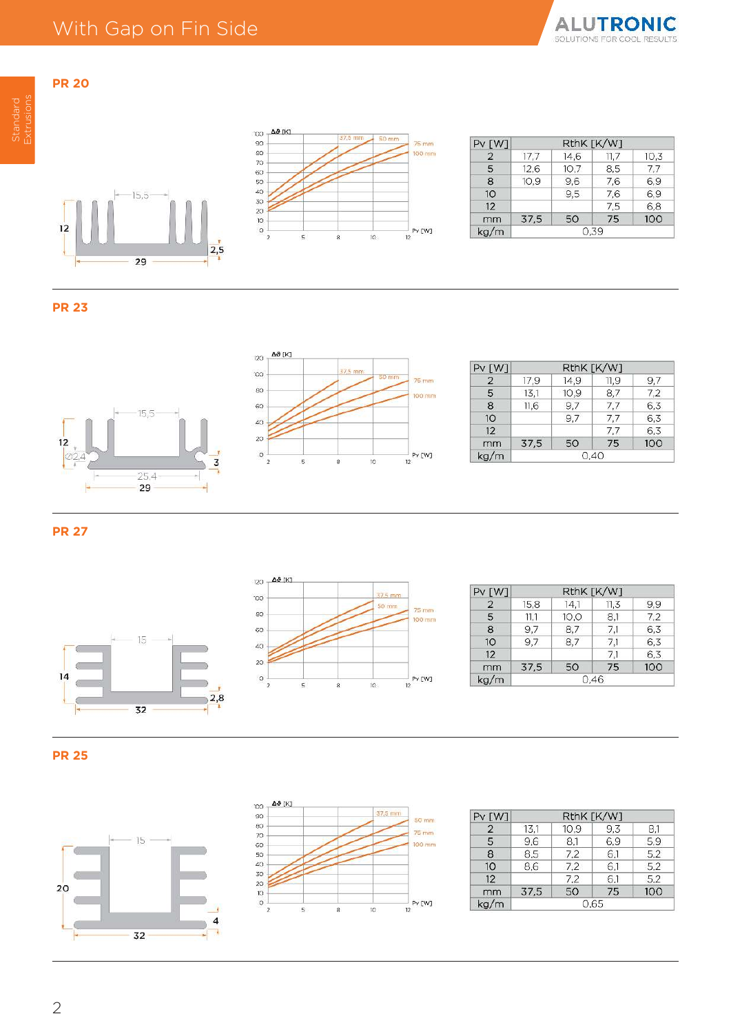





| $PV$ $[W]$     |      | RthK [K/W] |      |      |
|----------------|------|------------|------|------|
| $\overline{2}$ | 17.7 | 14.6       | 11,7 | 10,3 |
| 5              | 12.6 | 10.7       | 8.5  | 7.7  |
| 8              | 10.9 | 9,6        | 7,6  | 6,9  |
| 10             |      | 9,5        | 7.6  | 6.9  |
| 12             |      |            | 7,5  | 6,8  |
| mm             | 37.5 | 50         | 75   | 100  |
| ka/m           | 0.39 |            |      |      |

<span id="page-1-0"></span>**PR 20**





| PV[W]           |      |      | RthK [K/W] |     |
|-----------------|------|------|------------|-----|
| $\overline{2}$  | 17.9 | 14.9 | 11.9       | 9,7 |
| 5               | 13,1 | 10,9 | 8,7        | 7,2 |
| 8               | 11.6 | 9,7  | 7.7        | 6,3 |
| 10 <sup>°</sup> |      | 9.7  | 7.7        | 6.3 |
| 12              |      |      | 7.7        | 6.3 |
| mm              | 37,5 | 50   | 75         | 100 |
| kg/m            |      |      | 0.40       |     |

**PR 27**





| Pv [W]         | RthK [K/W] |      |      |     |
|----------------|------------|------|------|-----|
| $\overline{2}$ | 15,8       | 14,1 | 11,3 | 9.9 |
| 5              | 11,1       | 10,0 | 8,1  | 7.2 |
| 8              | 9.7        | 8,7  | 7.1  | 6,3 |
| 10             | 9.7        | 8.7  | 7.1  | 6,3 |
| 12             |            |      | 7.1  | 6,3 |
| mm             | 37.5       | 50   | 75   | 100 |
| kg/m           |            | 0.46 |      |     |





| $PV$ $[W]$     |      | RthK [K/W] |     |     |
|----------------|------|------------|-----|-----|
| $\overline{2}$ | 13.1 | 10.9       | 9.3 | 8.1 |
| 5              | 9.6  | 8.1        | 6.9 | 5.9 |
| 8              | 8.5  | 7,2        | 6,1 | 5,2 |
| 10             | 8,6  | 7,2        | 6,1 | 5,2 |
| 12             |      | 7.2        | 6,1 | 5,2 |
| mm             | 37,5 | 50         | 75  | 100 |
| kg/m           | 0.65 |            |     |     |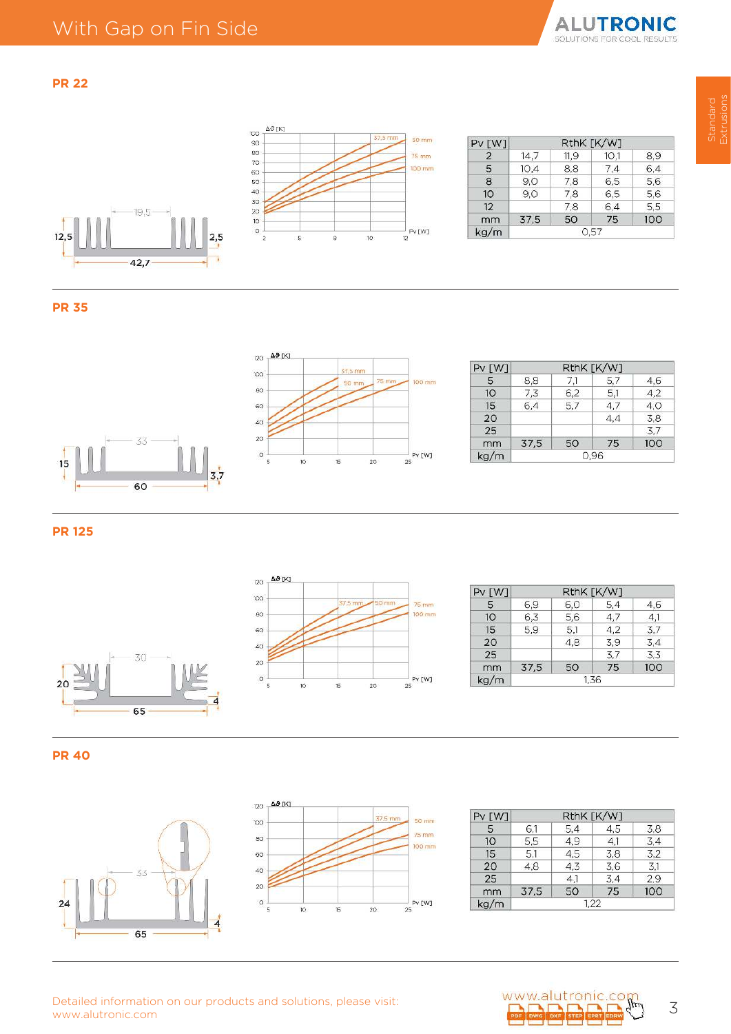



| $PV$ $[W]$     | RthK [K/W] |      |      |     |
|----------------|------------|------|------|-----|
| $\overline{2}$ | 14.7       | 11.9 | 10,1 | 8,9 |
| 5              | 10.4       | 8.8  | 7,4  | 6,4 |
| 8              | 9.0        | 7.8  | 6,5  | 5,6 |
| 10             | 9.0        | 7,8  | 6.5  | 5,6 |
| 12             |            | 7.8  | 6,4  | 5.5 |
| mm             | 37,5       | 50   | 75   | 100 |
| kg/m           |            | 0.57 |      |     |

 $12,5$ 





| $PV$ $[W]$ |      |     | RthK [K/W] |     |
|------------|------|-----|------------|-----|
| 5          | 8.8  | 71  | 5,7        | 4,6 |
| 10         | 7,3  | 6,2 | 5.1        | 4,2 |
| 15         | 6,4  | 5.7 | 4.7        | 4.0 |
| 20         |      |     | 4,4        | 3.8 |
| 25         |      |     |            | 3.7 |
| mm         | 37,5 | 50  | 75         | 100 |
| kg/m       |      |     | 0.96       |     |

**PR 125**





| $PV$ $[W]$ |      |      | RthK [K/W] |     |
|------------|------|------|------------|-----|
| 5          | 6,9  | 6,0  | 5,4        | 4,6 |
| 10         | 6.3  | 5,6  | 4.7        | 4.1 |
| 15         | 5.9  | 5.1  | 4.2        | 3.7 |
| 20         |      | 4.8  | 3.9        | 3,4 |
| 25         |      |      | 3.7        | 3.3 |
| mm         | 37,5 | 50   | 75         | 100 |
| kg/m       |      | 1.36 |            |     |





| Pv [W] |      |     | RthK [K/W] |     |
|--------|------|-----|------------|-----|
| 5      | 6,1  | 5,4 | 4,5        | 3.8 |
| 10     | 5.5  | 4,9 | 4.1        | 3.4 |
| 15     | 5.1  | 4,5 | 3.8        | 3,2 |
| 20     | 4.8  | 4,3 | 3,6        | 3,1 |
| 25     |      | 4.1 | 3,4        | 2,9 |
| mm     | 37.5 | 50  | 75         | 100 |
| kg/m   | 1,22 |     |            |     |

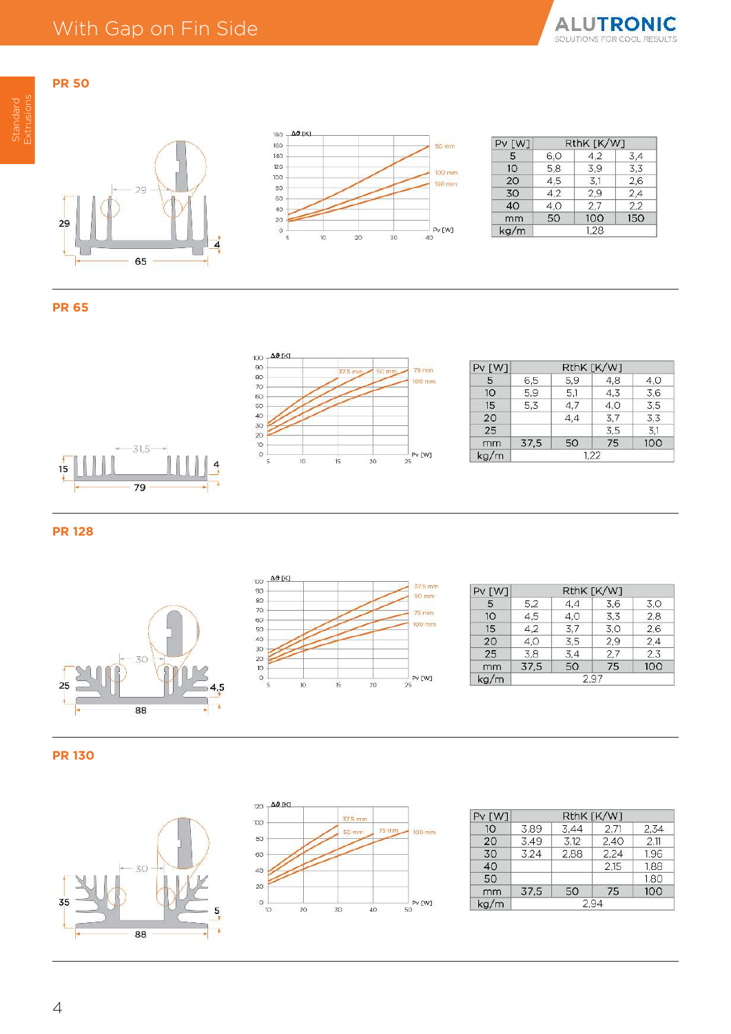





| Pv [W] |     | RthK [K/W] |     |
|--------|-----|------------|-----|
| 5      | 6,0 | 4.2        | 3,4 |
| 10     | 5,8 | 3.9        | 3.3 |
| 20     | 4,5 | 3,1        | 2.6 |
| 30     | 4.2 | 2.9        | 2,4 |
| 40     | 4,0 | 2,7        | 2,2 |
| mm     | 50  | 100        | 150 |
| kg/m   |     | 1.28       |     |

### **PR 65**





| $PV$ $[W]$ |      |     | RthK [K/W] |     |
|------------|------|-----|------------|-----|
| 5          | 6,5  | 5,9 | 4,8        | 4.0 |
| 10         | 5.9  | 5,1 | 4.3        | 3,6 |
| 15         | 5,3  | 4,7 | 4,0        | 3,5 |
| 20         |      | 4,4 | 3,7        | 3,3 |
| 25         |      |     | 3,5        | 3,1 |
| mm         | 37,5 | 50  | 75         | 100 |
| kg/m       | 1.22 |     |            |     |

**PR 128**





| $PV$ $[W]$ |      |      | RthK [K/W] |     |
|------------|------|------|------------|-----|
| 5          | 5.2  | 4.4  | 3.6        | 3.0 |
| 10         | 4.5  | 4.0  | 3,3        | 2,8 |
| 15         | 4.2  | 3,7  | 3,0        | 2.6 |
| 20         | 4,0  | 3.5  | 2.9        | 2,4 |
| 25         | 3.8  | 3,4  | 2.7        | 2.3 |
| mm         | 37,5 | 50   | 75         | 100 |
| ka/m       |      | 2.97 |            |     |





| Pv [W] |      |      | RthK [K/W] |      |
|--------|------|------|------------|------|
| 10     | 3.89 | 3.44 | 2.71       | 2.34 |
| 20     | 3.49 | 3,12 | 2.40       | 2,11 |
| 30     | 3.24 | 2.88 | 2.24       | 1.96 |
| 40     |      |      | 2,15       | 1,88 |
| 50     |      |      |            | 1.80 |
| mm     | 37.5 | 50   | 75         | 100  |
| kg/m   |      | 2.94 |            |      |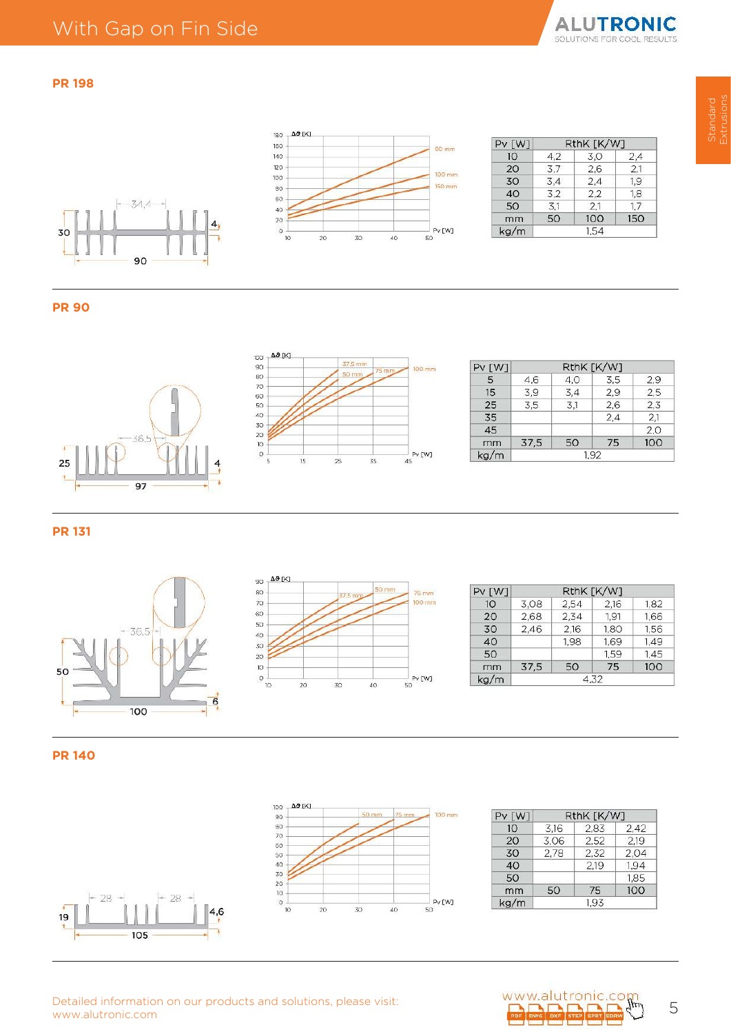





| Pv [W] |     | RthK [K/W] |     |
|--------|-----|------------|-----|
| 10     | 4.2 | 3.0        | 2,4 |
| 20     | 3.7 | 2.6        | 2.1 |
| 30     | 3,4 | 2,4        | 1.9 |
| 40     | 3.2 | 2,2        | 1,8 |
| 50     | 3,1 | 2.1        | 1.7 |
| mm     | 50  | 100        | 150 |
| kg/m   |     | 1.54       |     |

#### **PR 90**





| $PV$ $[W]$ |      |     | RthK [K/W] |     |
|------------|------|-----|------------|-----|
| 5          | 4.6  | 4,0 | 3,5        | 2.9 |
| 15         | 3,9  | 3,4 | 2,9        | 2,5 |
| 25         | 3.5  | 3,1 | 2,6        | 2,3 |
| 35         |      |     | 2.4        | 2.1 |
| 45         |      |     |            | 2,0 |
| mm         | 37.5 | 50  | 75         | 100 |
| kg/m       | 1.92 |     |            |     |

**PR 131**





| $PV$ $[W]$ |      |      | RthK [K/W] |      |
|------------|------|------|------------|------|
| 10         | 3.08 | 2,54 | 2.16       | 1.82 |
| 20         | 2,68 | 2.34 | 1.91       | 1,66 |
| 30         | 2,46 | 2,16 | 1.80       | 1,56 |
| 40         |      | 1.98 | 1.69       | 1.49 |
| 50         |      |      | 1.59       | 1.45 |
| mm         | 37.5 | 50   | 75         | 100  |
| kg/m       | 4.32 |      |            |      |

**PR 140**

 $28 -$ 

105

Ļ.

 $19$ 



| Pv [W] | RthK [K/W] |      |      |
|--------|------------|------|------|
| 10     | 3,16       | 2,83 | 2,42 |
| 20     | 3,06       | 2.52 | 2.19 |
| 30     | 2,78       | 2.32 | 2,04 |
| 40     |            | 2.19 | 1.94 |
| 50     |            |      | 1,85 |
| mm     | 50         | 75   | 100  |
| kg/m   | 1.93       |      |      |

Detailed information on our products and solutions, please visit:<br>www.alutronic.com **5 (1)** 5

 $\vert 4,6$ 

Ŕ

 $28 -$ 

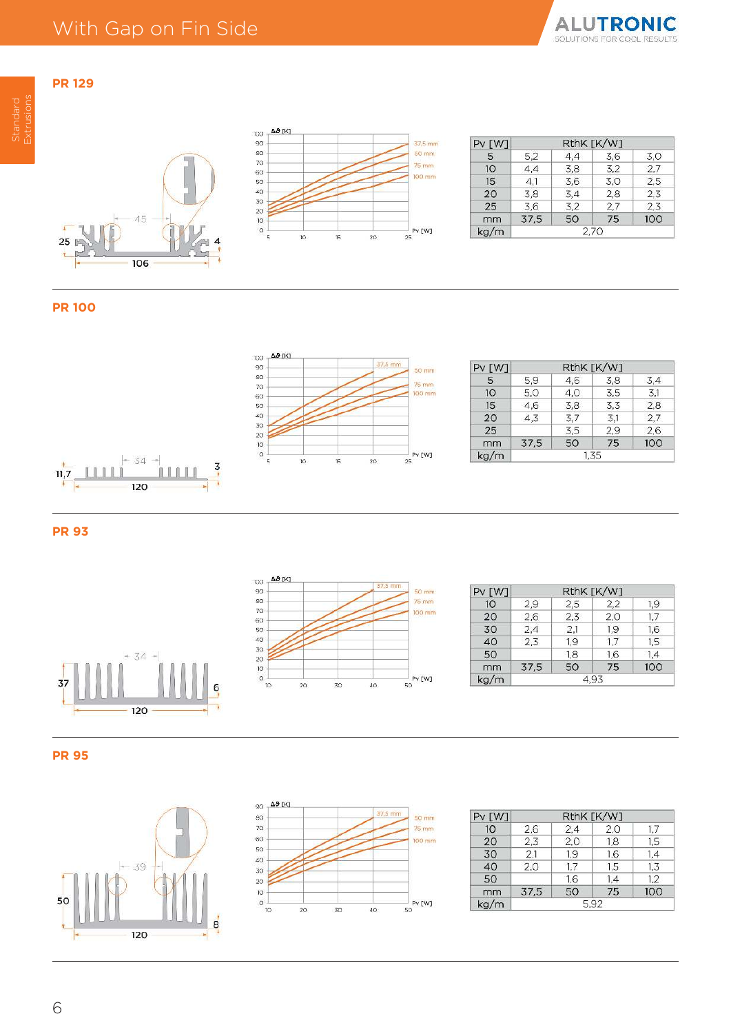# **PR 129** Extrusions





| Pv [W] |      |     | RthK [K/W] |     |
|--------|------|-----|------------|-----|
| 5      | 5.2  | 4,4 | 3.6        | 3.0 |
| 10     | 4,4  | 3.8 | 3.2        | 2.7 |
| 15     | 4,1  | 3.6 | 3.0        | 2,5 |
| 20     | 3.8  | 3,4 | 2,8        | 2,3 |
| 25     | 3,6  | 3,2 | 2,7        | 2,3 |
| mm     | 37.5 | 50  | 75         | 100 |
| ka/m   | 2.70 |     |            |     |

## **PR 100**



| Pv [W]          | RthK [K/W] |     |     |     |
|-----------------|------------|-----|-----|-----|
| 5               | 5,9        | 4,6 | 3.8 | 3,4 |
| 10 <sup>°</sup> | 5,0        | 4,0 | 3.5 | 3.1 |
| 15              | 4.6        | 3.8 | 3.3 | 2.8 |
| 20              | 4.3        | 3,7 | 3,1 | 2,7 |
| 25              |            | 3,5 | 2,9 | 2,6 |
| mm              | 37.5       | 50  | 75  | 100 |
| kg/m            | 1,35       |     |     |     |



**PR 93**



| Pv [W] |      | RthK [K/W] |     |     |
|--------|------|------------|-----|-----|
| 10     | 2.9  | 2,5        | 2,2 | 1.9 |
| 20     | 2,6  | 2,3        | 2,0 | 1.7 |
| 30     | 2.4  | 2.1        | 1.9 | 1.6 |
| 40     | 2.3  | 1.9        | 1.7 | 1,5 |
| 50     |      | 1.8        | 1.6 | 1.4 |
| mm     | 37,5 | 50         | 75  | 100 |
| kg/m   | 4.93 |            |     |     |







| $PV$ $[W]$ | RthK [K/W] |     |     |     |
|------------|------------|-----|-----|-----|
| 10         | 2.6        | 2,4 | 2,0 | 1.7 |
| 20         | 2,3        | 2,0 | 1,8 | 1.5 |
| 30         | 2.1        | 1,9 | 1,6 | 1,4 |
| 40         | 2.0        | 1.7 | 1.5 | 1,3 |
| 50         |            | 1.6 | 1.4 | 1.2 |
| mm         | 37,5       | 50  | 75  | 100 |
| kg/m       | 5.92       |     |     |     |